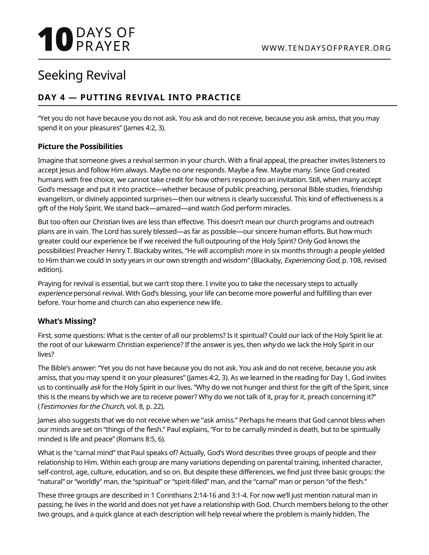# **10** DAYS OF

# Seeking Revival

# **DAY 4 — PUTTING REVIVAL INTO PRACTICE**

"Yet you do not have because you do not ask. You ask and do not receive, because you ask amiss, that you may spend it on your pleasures" (James 4:2, 3).

### **Picture the Possibilities**

Imagine that someone gives a revival sermon in your church. With a final appeal, the preacher invites listeners to accept Jesus and follow Him always. Maybe no one responds. Maybe a few. Maybe many. Since God created humans with free choice, we cannot take credit for how others respond to an invitation. Still, when many accept God's message and put it into practice—whether because of public preaching, personal Bible studies, friendship evangelism, or divinely appointed surprises—then our witness is clearly successful. This kind of effectiveness is a gift of the Holy Spirit. We stand back—amazed—and watch God perform miracles.

But too often our Christian lives are less than effective. This doesn't mean our church programs and outreach plans are in vain. The Lord has surely blessed—as far as possible—our sincere human efforts. But how much greater could our experience be if we received the full outpouring of the Holy Spirit? Only God knows the possibilities! Preacher Henry T. Blackaby writes, "He will accomplish more in six months through a people yielded to Him than we could in sixty years in our own strength and wisdom" (Blackaby, Experiencing God, p. 108, revised edition).

Praying for revival is essential, but we can't stop there. I invite you to take the necessary steps to actually experience personal revival. With God's blessing, your life can become more powerful and fulfilling than ever before. Your home and church can also experience new life.

## **What's Missing?**

First, some questions: What is the center of all our problems? Is it spiritual? Could our lack of the Holy Spirit lie at the root of our lukewarm Christian experience? If the answer is yes, then why do we lack the Holy Spirit in our lives?

The Bible's answer: "Yet you do not have because you do not ask. You ask and do not receive, because you ask amiss, that you may spend it on your pleasures" (James 4:2, 3). As we learned in the reading for Day 1, God invites us to continually ask for the Holy Spirit in our lives. "Why do we not hunger and thirst for the gift of the Spirit, since this is the means by which we are to receive power? Why do we not talk of it, pray for it, preach concerning it?" (Testimonies for the Church, vol. 8, p. 22).

James also suggests that we do not receive when we "ask amiss." Perhaps he means that God cannot bless when our minds are set on "things of the flesh." Paul explains, "For to be carnally minded is death, but to be spiritually minded is life and peace" (Romans 8:5, 6).

What is the "carnal mind" that Paul speaks of? Actually, God's Word describes three groups of people and their relationship to Him. Within each group are many variations depending on parental training, inherited character, self-control, age, culture, education, and so on. But despite these differences, we find just three basic groups: the "natural" or "worldly" man, the "spiritual" or "spirit-filled" man, and the "carnal" man or person "of the flesh."

These three groups are described in 1 Corinthians 2:14-16 and 3:1-4. For now we'll just mention natural man in passing; he lives in the world and does not yet have a relationship with God. Church members belong to the other two groups, and a quick glance at each description will help reveal where the problem is mainly hidden. The